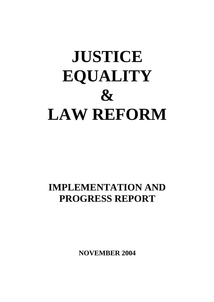# **JUSTICE EQUALITY & LAW REFORM**

# **IMPLEMENTATION AND PROGRESS REPORT**

**NOVEMBER 2004**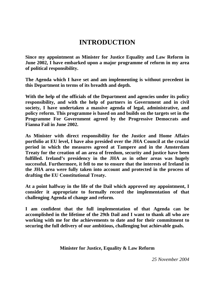### **INTRODUCTION**

**Since my appointment as Minister for Justice Equality and Law Reform in June 2002, I have embarked upon a major programme of reform in my area of political responsibility.**

**The Agenda which I have set and am implementing is without precedent in this Department in terms of its breadth and depth.**

**With the help of the officials of the Department and agencies under its policy responsibility, and with the help of partners in Government and in civil society, I have undertaken a massive agenda of legal, administrative, and policy reform. This programme is based on and builds on the targets set in the Programme For Government agreed by the Progressive Democrats and Fianna Fail in June 2002.**

**As Minister with direct responsibility for the Justice and Home Affairs portfolio at EU level, I have also presided over the JHA Council at the crucial period in which the measures agreed at Tampere and in the Amsterdam Treaty for the creation of an area of freedom, security and justice have been fulfilled. Ireland's presidency in the JHA as in other areas was hugely successful. Furthermore, it fell to me to ensure that the interests of Ireland in the JHA area were fully taken into account and protected in the process of drafting the EU Constitutional Treaty.**

**At a point halfway in the life of the Dail which approved my appointment, I consider it appropriate to formally record the implementation of that challenging Agenda of change and reform.**

**I am confident that the full implementation of that Agenda can be accomplished in the lifetime of the 29th Dail and I want to thank all who are working with me for the achievements to date and for their commitment to securing the full delivery of our ambitious, challenging but achievable goals.**

**Minister for Justice, Equality & Law Reform**

*25 November 2004*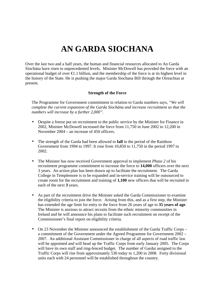### **AN GARDA SIOCHANA**

Over the last two and a half years, the human and financial resources allocated to An Garda Síochána have risen to unprecedented levels. Minister McDowell has provided the force with an operational budget of over  $\bigoplus$ .1 billion, and the membership of the force is at its highest level in the history of the State. He is pushing the major Garda Siochana Bill through the Oireachtas at present.

#### **Strength of the Force**

The Programme for Government commitment in relation to Garda numbers says, *"We will complete the current expansion of the Garda Síochána and increase recruitment so that the numbers will increase by a further 2,000".*

- Despite a freeze put on recruitment to the public service by the Minister for Finance in 2002, Minister McDowell increased the force from 11,750 in June 2002 to 12,200 in November 2004 – an increase of 450 officers.
- The strength of the Garda had been allowed to **fall** in the period of the Rainbow Government from 1994 to 1997. It rose from 10,850 to 11,750 in the period 1997 to 2002.
- The Minister has now received Government approval to implement *Phase 2* of his recruitment programme commitment to increase the force to **14,000** officers over the next 3 years. An action plan has been drawn up to facilitate the recruitment. The Garda College in Templemore is to be expanded and in-service training will be outsourced to create room for the recruitment and training of **1,100** new officers that will be recruited in each of the next **3** years.
- As part of the recruitment drive the Minister asked the Garda Commissioner to examine the eligibility criteria to join the force. Arising from this, and as a first step, the Minister has extended the age limit for entry to the force from 26 years of age to **35 years of age**. The Minister is anxious to attract recruits from the ethnic minority communities in Ireland and he will announce his plans to facilitate such recruitment on receipt of the Commissioner's final report on eligibility criteria.
- On 23 November the Minister announced the establishment of the Garda Traffic Corps a commitment of the Government under the Agreed Programme for Government 2002 – 2007. An additional Assistant Commissioner in charge of all aspects of road traffic law will be appointed and will head up the Traffic Corps from early January 2005. The Corps will have its own staff and ring-fenced budget. The number of Gardai assigned to the Traffic Corps will rise from approximately 530 today to 1,200 in 2008. Forty divisional units each with 24 personnel will be established throughout the country.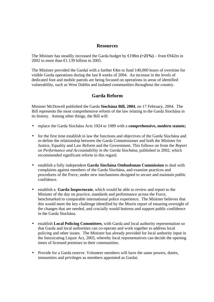#### **Resources**

The Minister has steadily increased the Garda budget by  $\text{E}198m (+21\%)$  – from  $\text{E}942m$  in 2002 to more than  $\bigoplus$ .139 billion in 2005.

The Minister provided the Gardaí with a further €4m to fund 140,000 hours of overtime for visible Garda operations during the last 8 weeks of 2004. An increase in the levels of dedicated foot and mobile patrols are being focused on operations in areas of identified vulnerability, such as West Dublin and isolated communities throughout the country.

#### **Garda Reform**

Minister McDowell published the Garda **Síochána Bill, 2004**, on 17 February, 2004. The Bill represents the most comprehensive reform of the law relating to the Garda Síochána in its history. Among other things, the Bill will:

- replace the Garda Síochána Acts 1924 to 1989 with a **comprehensive, modern statute;**
- for the first time establish in law the functions and objectives of the Garda Síochána and re-define the relationship between the Garda Commissioner and both the Minister for Justice, Equality and Law Reform and the Government. This follows on from the *Report on Performance and Accountability in the Garda Síochána,* published in 2002, which recommended significant reform in this regard.
- establish a fully independent **Garda Síochána Ombudsman Commission** to deal with complaints against members of the Garda Síochána, and examine practices and procedures of the Force, under new mechanisms designed to secure and maintain public confidence.
- establish a **Garda Inspectorate**, which would be able to review and report to the Minister of the day on practice, standards and performance across the Force, benchmarked to comparable international police experience. The Minister believes that this would meet the key challenge identified by the Morris report of ensuring oversight of the changes that are needed, and crucially would buttress and support public confidence in the Garda Síochána.
- establish **Local Policing Committees**, with Garda and local authority representation so that Garda and local authorities can co-operate and work together to address local policing and other issues. The Minister has already provided for local authority input in the Intoxicating Liquor Act, 2003, whereby local representatives can decide the opening times of licensed premises in their communities.
- Provide for a Garda reserve. Volunteer members will have the same powers, duties, immunities and privileges as members appointed as Gardai.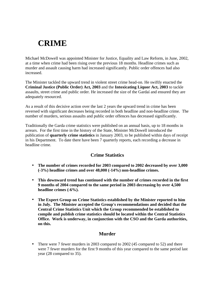### **CRIME**

Michael McDowell was appointed Minister for Justice, Equality and Law Reform, in June, 2002, at a time when crime had been rising over the previous 18 months. Headline crimes such as murder and assault causing harm had increased significantly. Public order offences had also increased.

The Minister tackled the upward trend in violent street crime head-on. He swiftly enacted the **Criminal Justice (Public Order) Act, 2003** and the **Intoxicating Liquor Act, 2003** to tackle assaults, street crime and public order. He increased the size of the Gardaí and ensured they are adequately resourced.

As a result of this decisive action over the last 2 years the upward trend in crime has been reversed with significant decreases being recorded in both headline and non-headline crime. The number of murders, serious assaults and public order offences has decreased significantly.

Traditionally the Garda crime statistics were published on an annual basis, up to 18 months in arrears. For the first time in the history of the State, Minister McDowell introduced the publication of **quarterly crime statistics** in January 2003, to be published within days of receipt in his Department. To date there have been 7 quarterly reports, each recording a decrease in headline crime.

#### **Crime Statistics**

- **The number of crimes recorded for 2003 compared to 2002 decreased by over 3,000 (-3%) headline crimes and over 48,000 (-14%) non-headline crimes.**
- **This downward trend has continued with the number of crimes recorded in the first 9 months of 2004 compared to the same period in 2003 decreasing by over 4,500 headline crimes (-6%).**
- **The Expert Group on Crime Statistics established by the Minister reported to him in July. The Minister accepted the Group's recommendations and decided that the Central Crime Statistics Unit which the Group recommended be established to compile and publish crime statistics should be located within the Central Statistics Office. Work is underway, in conjunction with the CSO and the Garda authorities, on this.**

#### **Murder**

• There were 7 fewer murders in 2003 compared to 2002 (45 compared to 52) and there were 7 fewer murders for the first 9 months of this year compared to the same period last year (28 compared to 35).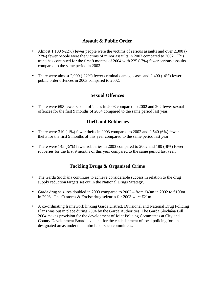#### **Assault & Public Order**

- Almost 1,100 (-22%) fewer people were the victims of serious assaults and over 2,300 (-23%) fewer people were the victims of minor assaults in 2003 compared to 2002. This trend has continued for the first 9 months of 2004 with 225 (-7%) fewer serious assaults compared to the same period in 2003.
- There were almost 2,000 (-22%) fewer criminal damage cases and 2,400 (-4%) fewer public order offences in 2003 compared to 2002.

#### **Sexual Offences**

• There were 698 fewer sexual offences in 2003 compared to 2002 and 202 fewer sexual offences for the first 9 months of 2004 compared to the same period last year.

#### **Theft and Robberies**

- There were  $310$  ( $-1\%$ ) fewer thefts in 2003 compared to 2002 and 2,540 ( $6\%$ ) fewer thefts for the first 9 months of this year compared to the same period last year.
- There were 145 (-5%) fewer robberies in 2003 compared to 2002 and 180 (-8%) fewer robberies for the first 9 months of this year compared to the same period last year.

#### **Tackling Drugs & Organised Crime**

- The Garda Siochána continues to achieve considerable success in relation to the drug supply reduction targets set out in the National Drugs Strategy.
- Garda drug seizures doubled in 2003 compared to  $2002 -$  from  $\bigoplus_{n=1}^{\infty} 2002$  to  $\bigoplus_{n=1}^{\infty} 00$ m in 2003. The Customs & Excise drug seizures for 2003 were  $\in \mathbb{Z}1m$ .
- A co-ordinating framework linking Garda District, Divisional and National Drug Policing Plans was put in place during 2004 by the Garda Authorities. The Garda Síochána Bill 2004 makes provision for the development of Joint Policing Committees at City and County Development Board level and for the establishment of local policing fora in designated areas under the umbrella of such committees.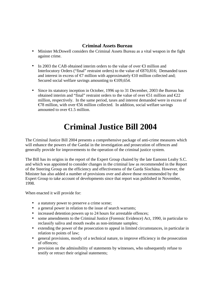#### **Criminal Assets Bureau**

- Minister McDowell considers the Criminal Assets Bureau as a vital weapon in the fight against crime.
- In 2003 the CAB obtained interim orders to the value of over  $\bigoplus$  million and Interlocutory Orders ("final" restraint orders) to the value of  $\Theta$ 70,816; Demanded taxes and interest in excess of  $\epsilon$ 7 million with approximately  $\epsilon$ 10 million collected and; Secured social welfare savings amounting to  $\in$  109,654.
- Since its statutory inception in October, 1996 up to 31 December, 2003 the Bureau has obtained interim and "final" restraint orders to the value of over  $\epsilon$ 1 million and  $\epsilon$ 22 million, respectively. In the same period, taxes and interest demanded were in excess of  $€78$  million, with over  $€6$  million collected. In addition, social welfare savings amounted to over  $\in$  1.5 million.

# **Criminal Justice Bill 2004**

The Criminal Justice Bill 2004 presents a comprehensive package of anti-crime measures which will enhance the powers of the Gardaí in the investigation and prosecution of offences and generally provide for improvements to the operation of the criminal justice system.

The Bill has its origins in the report of the Expert Group chaired by the late Eamonn Leahy S.C. and which was appointed to consider changes in the criminal law as recommended in the Report of the Steering Group on the efficiency and effectiveness of the Garda Síochána. However, the Minister has also added a number of provisions over and above those recommended by the Expert Group to take account of developments since that report was published in November, 1998.

When enacted it will provide for:

- a statutory power to preserve a crime scene;
- a general power in relation to the issue of search warrants;
- increased detention powers up to 24 hours for arrestable offences;
- some amendments to the Criminal Justice (Forensic Evidence) Act, 1990, in particular to reclassify saliva and mouth swabs as non-intimate samples;
- extending the power of the prosecution to appeal in limited circumstances, in particular in relation to points of law;
- general provisions, mostly of a technical nature, to improve efficiency in the prosecution of offences;
- provision on the admissibility of statements by witnesses, who subsequently refuse to testify or retract their original statements;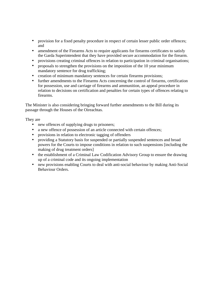- provision for a fixed penalty procedure in respect of certain lesser public order offences; and
- amendment of the Firearms Acts to require applicants for firearms certificates to satisfy the Garda Superintendent that they have provided secure accommodation for the firearm.
- provisions creating criminal offences in relation to participation in criminal organisations;
- proposals to strengthen the provisions on the imposition of the 10 year minimum mandatory sentence for drug trafficking;
- creation of minimum mandatory sentences for certain firearms provisions;
- further amendments to the Firearms Acts concerning the control of firearms, certification for possession, use and carriage of firearms and ammunition, an appeal procedure in relation to decisions on certification and penalties for certain types of offences relating to firearms.

The Minister is also considering bringing forward further amendments to the Bill during its passage through the Houses of the Oireachtas.

They are

- new offences of supplying drugs to prisoners;
- a new offence of possession of an article connected with certain offences;
- provisions in relation to electronic tagging of offenders
- providing a Statutory basis for suspended or partially suspended sentences and broad powers for the Courts to impose conditions in relation to such suspensions [including the making of drug treatment orders]
- the establishment of a Criminal Law Codification Advisory Group to ensure the drawing up of a criminal code and its ongoing implementation
- new provisions enabling Courts to deal with anti-social behaviour by making Anti-Social Behaviour Orders.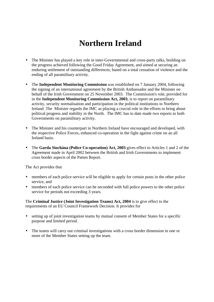### **Northern Ireland**

- The Minister has played a key role in inter-Governmental and cross-party talks, building on the progress achieved following the Good Friday Agreement, and aimed at securing an enduring settlement of outstanding differences, based on a total cessation of violence and the ending of all paramilitary activity.
- The **Independent Monitoring Commission** was established on 7 January 2004, following the signing of an international agreement by the British Ambassador and the Minister on behalf of the Irish Government on 25 November 2003. The Commission's role, provided for in the **Independent Monitoring Commission Act, 2003**, is to report on paramilitary activity, security normalisation and participation in the political institutions in Northern Ireland. The Minister regards the IMC as playing a crucial role in the efforts to bring about political progress and stability in the North. The IMC has to date made two reports to both Governments on paramilitary activity.
- The Minister and his counterpart in Northern Ireland have encouraged and developed, with the respective Police Forces, enhanced co-operation in the fight against crime on an all Ireland basis.
- The **Garda Síochána (Police Co-operation) Act, 2003** gives effect to Articles 1 and 2 of the Agreement made in April 2002 between the British and Irish Governments to implement cross border aspects of the Patten Report.

The Act provides that

- members of each police service will be eligible to apply for certain posts in the other police service, and
- members of each police service can be seconded with full police powers to the other police service for periods not exceeding 3 years.

The **Criminal Justice (Joint Investigation Teams) Act, 2004** is to give effect to the requirements of an EU Council Framework Decision. It provides for

- setting up of joint investigation teams by mutual consent of Member States for a specific purpose and limited period.
- The teams will carry out criminal investigations with a cross border dimension in one or more of the Member States setting up the team.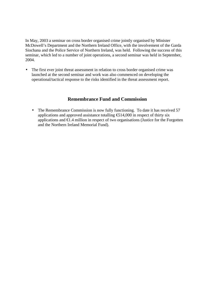In May, 2003 a seminar on cross border organised crime jointly organised by Minister McDowell's Department and the Northern Ireland Office, with the involvement of the Garda Siochana and the Police Service of Northern Ireland, was held. Following the success of this seminar, which led to a number of joint operations, a second seminar was held in September, 2004.

The first ever joint threat assessment in relation to cross border organised crime was launched at the second seminar and work was also commenced on developing the operational/tactical response to the risks identified in the threat assessment report.

#### **Remembrance Fund and Commission**

• The Remembrance Commission is now fully functioning. To date it has received 57 applications and approved assistance totalling €514,000 in respect of thirty six applications and €1.4 million in respect of two organisations (Justice for the Forgotten and the Northern Ireland Memorial Fund).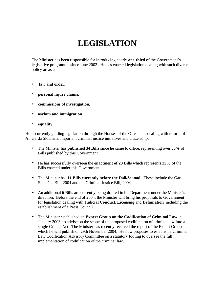# **LEGISLATION**

The Minister has been responsible for introducing nearly **one-third** of the Government's legislative programme since June 2002. He has enacted legislation dealing with such diverse policy areas as

- • **law and order,**
- **personal injury claims,**
- **commissions of investigation,**
- **asylum and immigration**
- **equality**

He is currently guiding legislation through the Houses of the Oireachtas dealing with reform of An Garda Síochána, important criminal justice initiatives and citizenship.

- The Minister has **published 34 Bills** since he came to office, representing over **33%** of Bills published by this Government.
- He has successfully overseen the **enactment of 23 Bills** which represents **25%** of the Bills enacted under this Government.
- The Minister has **11 Bills currently before the Dáil/Seanad.** These include the Garda Síochána Bill, 2004 and the Criminal Justice Bill, 2004.
- An additional **6 Bills** are currently being drafted in his Department under the Minister's direction. Before the end of 2004, the Minister will bring his proposals to Government for legislation dealing with **Judicial Conduct**, **Licensing** and **Defamation**, including the establishment of a Press Council.
- The Minister established an **Expert Group on the Codification of Criminal Law** in January 2003, to advise on the scope of the proposed codification of criminal law into a single Crimes Act. The Minister has recently received the report of the Expert Group which he will publish on 29th November 2004. He now proposes to establish a Criminal Law Codification Advisory Committee on a statutory footing to oversee the full implementation of codification of the criminal law.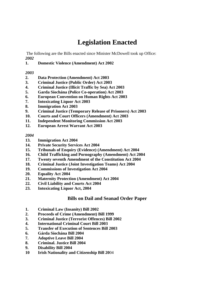### **Legislation Enacted**

 The following are the Bills enacted since Minister McDowell took up Office: *2002*

#### **1. Domestic Violence (Amendment) Act 2002**

#### *2003*

- **2. Data Protection (Amendment) Act 2003**
- **3. Criminal Justice (Public Order) Act 2003**
- **4. Criminal Justice (Illicit Traffic by Sea) Act 2003**
- **5. Garda Síochána (Police Co-operation) Act 2003**
- **6. European Convention on Human Rights Act 2003**
- **7. Intoxicating Liquor Act 2003**
- **8. Immigration Act 2003**
- **9. Criminal Justice (Temporary Release of Prisoners) Act 2003**
- **10. Courts and Court Officers (Amendment) Act 2003**
- **11. Independent Monitoring Commission Act 2003**
- **12. European Arrest Warrant Act 2003**

#### *2004*

- **13. Immigration Act 2004**
- **14. Private Security Services Act 2004**
- **15. Tribunals of Enquiry (Evidence) (Amendment) Act 2004**
- **16. Child Trafficking and Pornography (Amendment) Act 2004**
- **17. Twenty seventh Amendment of the Constitution Act 2004**
- **18. Criminal Justice (Joint Investigation Teams) Act 2004**
- **19. Commissions of Investigation Act 2004**
- **20. Equality Act 2004**
- **21. Maternity Protection (Amendment) Act 2004**
- **22. Civil Liability and Courts Act 2004**
- **23. Intoxicating Liquor Act, 2004**

#### **Bills on Dail and Seanad Order Paper**

- **1. Criminal Law (Insanity) Bill 2002**
- **2. Proceeds of Crime (Amendment) Bill 1999**
- **3. Criminal Justice (Terrorist Offences) Bill 2002**
- **4. International Criminal Court Bill 2003**
- **5. Transfer of Execution of Sentences Bill 2003**
- **6. Gárda Síochána Bill 2004**
- **7. Adoptive Leave Bill 2004**
- **8. Criminal. Justice Bill 2004**
- **9. Disability Bill 2004**
- **10 Irish Nationality and Citizenship Bill 20**04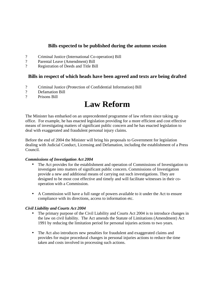#### **Bills expected to be published during the autumn session**

- ? Criminal Justice (International Co-operation) Bill
- ? Parental Leave (Amendment) Bill
- ? Registration of Deeds and Title Bill

#### **Bills in respect of which heads have been agreed and texts are being drafted**

- ? Criminal Justice (Protection of Confidential Information) Bill
- ? Defamation Bill<br>? Prisons Rill
- Prisons Bill

### **Law Reform**

The Minister has embarked on an unprecedented programme of law reform since taking up office. For example, he has enacted legislation providing for a more efficient and cost effective means of investigating matters of significant public concern and he has enacted legislation to deal with exaggerated and fraudulent personal injury claims.

Before the end of 2004 the Minister will bring his proposals to Government for legislation dealing with Judicial Conduct, Licensing and Defamation, including the establishment of a Press Council.

#### *Commissions of Investigation Act 2004*

- The Act provides for the establishment and operation of Commissions of Investigation to investigate into matters of significant public concern. Commissions of Investigation provide a new and additional means of carrying out such investigations. They are designed to be most cost effective and timely and will facilitate witnesses in their cooperation with a Commission.
- A Commission will have a full range of powers available to it under the Act to ensure compliance with its directions, access to information etc.

#### *Civil Liability and Courts Act 2004*

- The primary purpose of the Civil Liability and Courts Act 2004 is to introduce changes in the law on civil liability. The Act amends the Statute of Limitations (Amendment) Act 1991 by reducing the limitation period for personal injuries actions to two years.
- The Act also introduces new penalties for fraudulent and exaggerated claims and provides for major procedural changes in personal injuries actions to reduce the time taken and costs involved in processing such actions.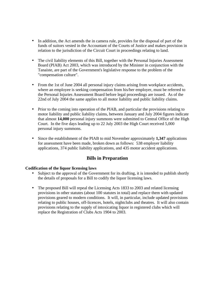- In addition, the Act amends the in camera rule, provides for the disposal of part of the funds of suitors vested in the Accountant of the Courts of Justice and makes provision in relation to the jurisdiction of the Circuit Court in proceedings relating to land.
- The civil liability elements of this Bill, together with the Personal Injuries Assessment Board (PIAB) Act 2003, which was introduced by the Minister in conjunction with the Tanaiste, are part of the Government's legislative response to the problem of the "compensation culture".
- From the 1st of June 2004 all personal injury claims arising from workplace accidents, where an employee is seeking compensation from his/her employer, must be referred to the Personal Injuries Assessment Board before legal proceedings are issued. As of the 22nd of July 2004 the same applies to all motor liability and public liability claims.
- Prior to the coming into operation of the PIAB, and particular the provisions relating to motor liability and public liability claims, between January and July 2004 figures indicate that almost **14,000** personal injury summons were submitted to Central Office of the High Court. In the five days leading up to 22 July 2003 the High Court received 5,000 personal injury summons.
- Since the establishment of the PIAB to mid November approximately **1,347** applications for assessment have been made, broken down as follows: 538 employer liability applications, 374 public liability applications, and 435 motor accident applications.

#### **Bills in Preparation**

#### **Codification of the liquor licensing laws**

- Subject to the approval of the Government for its drafting, it is intended to publish shortly the details of proposals for a Bill to codify the liquor licensing laws.
- The proposed Bill will repeal the Licensing Acts 1833 to 2003 and related licensing provisions in other statutes (about 100 statutes in total) and replace them with updated provisions geared to modern conditions. It will, in particular, include updated provisions relating to public houses, off-licences, hotels, nightclubs and theatres. It will also contain provisions relating to the supply of intoxicating liquor in registered clubs which will replace the Registration of Clubs Acts 1904 to 2003.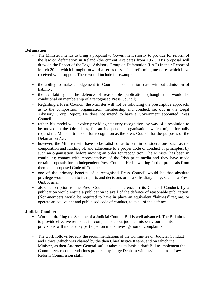#### **Defamation**

- The Minister intends to bring a proposal to Government shortly to provide for reform of the law on defamation in Ireland (the current Act dates from 1961). His proposal will draw on the Report of the Legal Advisory Group on Defamation (LAG) in their Report of March 2004, which brought forward a series of sensible reforming measures which have received wide support. These would include for example:
- the ability to make a lodgement in Court in a defamation case without admission of liability,
- the availability of the defence of reasonable publication, (though this would be conditional on membership of a recognised Press Council),
- Regarding a Press Council, the Minister will not be following the prescriptive approach, as to the composition, organisation, membership and conduct, set out in the Legal Advisory Group Report. He does not intend to have a Government appointed Press Council,
- rather, his model will involve providing statutory recognition, by way of a resolution to be moved in the Oireachtas, for an independent organisation, which might formally request the Minister to do so, for recognition as the Press Council for the purposes of the Defamation Act,
- however, the Minister will have to be satisfied, as to certain considerations, such as the composition and funding of, and adherence to a proper code of conduct or principles, by such an organisation, before moving an order for recognition. The Minister has been in continuing contact with representatives of the Irish print media and they have made certain proposals for an independent Press Council. He is awaiting further proposals from them on a proposed Code of Conduct,
- one of the primary benefits of a recognised Press Council would be that absolute privilege would attach to its reports and decisions or of a subsidiary body, such as a Press Ombudsman,
- also, subscription to the Press Council, and adherence to its Code of Conduct, by a publication would entitle a publication to avail of the defence of reasonable publication. (Non-members would be required to have in place an equivalent "fairness" regime, or operate an equivalent and publicised code of conduct, to avail of the defence.

#### **Judicial Conduct**

- Work on drafting the Scheme of a Judicial Council Bill is well advanced. The Bill aims to provide effective remedies for complaints about judicial misbehaviour and its provisions will include lay participation in the investigation of complaints.
- The work follows broadly the recommendations of the Committee on Judicial Conduct and Ethics (which was chaired by the then Chief Justice Keane, and on which the Minister, as then Attorney General sat); it takes as its basis a draft Bill to implement the Committee's recommendations prepared by Judge Denham with assistance from Law Reform Commission staff.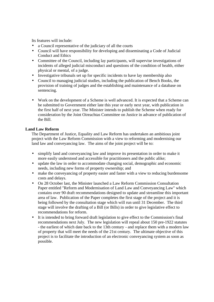Its features will include:

- a Council representative of the judiciary of all the courts
- Council will have responsibility for developing and disseminating a Code of Judicial Conduct and Ethics
- Committee of the Council, including lay participants, will supervise investigations of incidents of alleged judicial misconduct and questions of the condition of health, either physical or mental, of a judge.
- Investigative tribunals set up for specific incidents to have lay membership also
- Council to managing judicial studies, including the publication of Bench Books, the provision of training of judges and the establishing and maintenance of a database on sentencing.
- Work on the development of a Scheme is well advanced. It is expected that a Scheme can be submitted to Government either late this year or early next year, with publication in the first half of next year. The Minister intends to publish the Scheme when ready for consideration by the Joint Oireachtas Committee on Justice in advance of publication of the Bill.

#### **Land Law Reform**

The Department of Justice, Equality and Law Reform has undertaken an ambitious joint project with the Law Reform Commission with a view to reforming and modernising our land law and conveyancing law. The aims of the joint project will be to:

- simplify land and conveyancing law and improve its presentation in order to make it more easily understood and accessible for practitioners and the public alike;
- update the law in order to accommodate changing social, demographic and economic needs, including new forms of property ownership; and
- make the conveyancing of property easier and faster with a view to reducing burdensome costs and delays.
- On 28 October last, the Minister launched a Law Reform Commission Consultation Paper entitled "Reform and Modernisation of Land Law and Conveyancing Law" which contains over 90 draft recommendations designed to update and streamline this important area of law. Publication of the Paper completes the first stage of the project and it is being followed by the consultation stage which will run until 31 December. The third stage will involve the drafting of a Bill (or Bills) in order to give legislative effect to recommendations for reform.
- It is intended to bring forward draft legislation to give effect to the Commission's final recommendations next July. The new legislation will repeal about 150 pre-1922 statutes - the earliest of which date back to the 13th century - and replace them with a modern law of property that will meet the needs of the 21st century. The ultimate objective of this project is to facilitate the introduction of an electronic conveyancing system as soon as possible.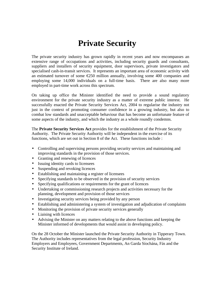### **Private Security**

The private security industry has grown rapidly in recent years and now encompasses an extensive range of occupations and activities, including security guards and consultants, suppliers and installers of security equipment, door supervisors, private investigators and specialised cash-in-transit services. It represents an important area of economic activity with an estimated turnover of some  $\epsilon$ 250 million annually, involving some 400 companies and employing some 14,000 individuals on a full-time basis. There are also many more employed in part-time work across this spectrum.

On taking up office the Minister identified the need to provide a sound regulatory environment for the private security industry as a matter of extreme public interest. He successfully enacted the Private Security Services Act, 2004 to regularise the industry not just in the context of promoting consumer confidence in a growing industry, but also to combat low standards and unacceptable behaviour that has become an unfortunate feature of some aspects of the industry, and which the industry as a whole roundly condemns.

The **Private Security Services Act** provides for the establishment of the Private Security Authority. The Private Security Authority will be independent in the exercise of its functions, which are set out in Section 8 of the Act. These functions include :

- Controlling and supervising persons providing security services and maintaining and improving standards in the provision of those services.
- Granting and renewing of licences
- Issuing identity cards to licensees
- Suspending and revoking licences
- Establishing and maintaining a register of licensees
- Specifying standards to be observed in the provision of security services
- Specifying qualifications or requirements for the grant of licences
- Undertaking or commissioning research projects and activities necessary for the planning, development and provision of those services
- Investigating security services being provided by any person
- Establishing and administering a system of investigation and adjudication of complaints
- Monitoring the provision of private security services generally
- Liaising with licences
- Advising the Minister on any matters relating to the above functions and keeping the Minister informed of developments that would assist in developing policy.

On the 28 October the Minister launched the Private Security Authority in Tipperary Town. The Authority includes representatives from the legal profession, Security Industry Employers and Employees, Government Departments, An Garda Síochána, Fás and the Security Institute of Ireland.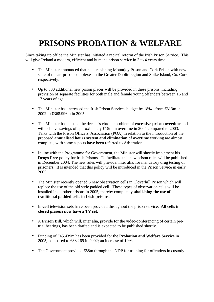# **PRISONS PROBATION & WELFARE**

Since taking up office the Minister has initiated a radical reform of the Irish Prison Service. This will give Ireland a modern, efficient and humane prison service in 3 to 4 years time.

- The Minister announced that he is replacing Mountjoy Prison and Cork Prison with new state of the art prison complexes in the Greater Dublin region and Spike Island, Co. Cork, respectively.
- Up to 800 additional new prison places will be provided in these prisons, including provision of separate facilities for both male and female young offenders between 16 and 17 years of age.
- The Minister has increased the Irish Prison Services budget by 18% from €313m in 2002 to €368.996m in 2005.
- The Minister has tackled the decade's chronic problem of **excessive prison overtime** and will achieve savings of approximately  $\bigoplus$  5m in overtime in 2004 compared to 2003. Talks with the Prison Officers' Association (POA) in relation to the introduction of the proposed **annualised hours system and elimination of overtime** working are almost complete, with some aspects have been referred to Arbitration.
- In line with the Programme for Government, the Minister will shortly implement his **Drugs Free** policy for Irish Prisons. To facilitate this new prison rules will be published in December 2004. The new rules will provide, inter alia, for mandatory drug testing of prisoners. It is intended that this policy will be introduced in the Prison Service in early 2005.
- The Minister recently opened 6 new observation cells in Cloverhill Prison which will replace the use of the old style padded cell. These types of observation cells will be installed in all other prisons in 2005, thereby completely **abolishing the use of traditional padded cells in Irish prisons.**
- In-cell television sets have been provided throughout the prison service. **All cells in closed prisons now have a TV set.**
- A **Prison Bill,** which will, inter alia, provide for the video-conferencing of certain pretrial hearings, has been drafted and is expected to be published shortly.
- Funding of €45.439m has been provided for the **Probation and Welfare Service** in 2005, compared to €38.269 in 2002; an increase of 19%.
- The Government provided  $\bigoplus$ 8m through the NDP for training for offenders in custody.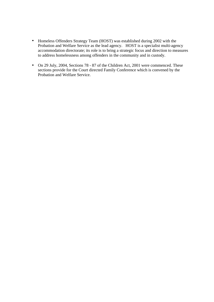- Homeless Offenders Strategy Team (HOST) was established during 2002 with the Probation and Welfare Service as the lead agency. HOST is a specialist multi-agency accommodation directorate; its role is to bring a strategic focus and direction to measures to address homelessness among offenders in the community and in custody.
- On 29 July, 2004, Sections 78 87 of the Children Act, 2001 were commenced. These sections provide for the Court directed Family Conference which is convened by the Probation and Welfare Service.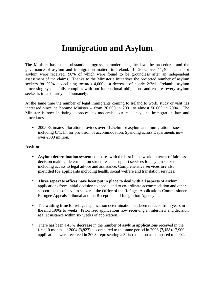### **Immigration and Asylum**

The Minister has made substantial progress in modernising the law, the procedures and the governance of asylum and immigration matters in Ireland. In 2002 over 11,400 claims for asylum were received, 90% of which were found to be groundless after an independent assessment of the claims. Thanks to the Minister's initiatives the projected number of asylum seekers for 2004 is declining towards 4,000 – a decrease of nearly 2/3rds. Ireland's asylum processing system fully complies with our international obligations and ensures every asylum seeker is treated fairly and humanely.

At the same time the number of legal immigrants coming to Ireland to work, study or visit has increased since he became Minister – from 36,000 in 2001 to almost 50,000 in 2004. The Minister is now initiating a process to modernise our residency and immigration law and procedures.

• 2005 Estimates allocation provides over  $\bigoplus$  25.4m for asylum and immigration issues including €71.1m for provision of accommodation. Spending across Departments now over €300 million.

#### **Asylum**

- **Asylum determination system** compares with the best in the world in terms of fairness, decision making, determination structures and support services for asylum seekers including access to legal advice and assistance. Comprehensive **services are also provided for applicants** including health, social welfare and translation services.
- **Three separate offices have been put in place to deal with all aspects** of asylum applications from initial decision to appeal and to co-ordinate accommodation and other support needs of asylum seekers - the Office of the Refugee Applications Commissioner, Refugee Appeals Tribunal and the Reception and Integration Agency.
- The **waiting time** for refugee application determination has been reduced from years in the mid 1990s to weeks. Prioritised applications now receiving an interview and decision at first instance within six weeks of application.
- There has been a **45% decrease** in the number of **asylum applications** received in the first 10 months of 2004 **(3,927)** as compared to the same period in 2003 **(7,158).** 7,900 applications were received in 2003, representing a 32% reduction as compared to 2002.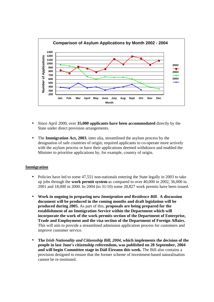

- Since April 2000, over **35,000 applicants have been accommodated** directly by the State under direct provision arrangements.
- The **Immigration Act, 2003**, inter alia, streamlined the asylum process by the designation of safe countries of origin; required applicants to co-operate more actively with the asylum process or have their applications deemed withdrawn and enabled the Minister to prioritise applications by, for example, country of origin.

#### **Immigration**

- Policies have led to some 47,551 non-nationals entering the State legally in 2003 to take up jobs through the **work permit system** as compared to over 40,000 in 2002, 36,000 in 2001 and 18,000 in 2000. In 2004 (to 31/10) some 28,827 work permits have been issued.
- **Work in ongoing in preparing new** *Immigration and Residence Bill.* **A discussion document will be produced in the coming months and draft legislation will be produced during 2005.** As part of this, **proposals are being prepared for the establishment of an Immigration Service within the Department which will incorporate the work of the work permits section of the Department of Enterprise, Trade and Employment and the visa section of the Department of Foreign Affairs.** This will aim to provide a streamlined admission application process for customers and improve customer service.
- **The** *Irish Nationality and Citizenship Bill, 2004***, which implements the decision of the people in last June's citizenship referendum, was published on 28 September, 2004 and will begin Committee stage in Dáil Éireann this week.** The Bill also contains a provision designed to ensure that the former scheme of investment-based naturalisation cannot be re-instituted.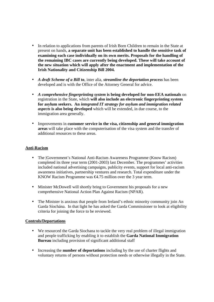- In relation to applications from parents of Irish Born Children to remain in the State at present on hands, **a separate unit has been established to handle the sensitive task of examining each case individually on its own merits. Proposals for the handling of the remaining IBC cases are currently being developed. These will take account of the new situation which will apply after the enactment and implementation of the Irish Nationality and Citizenship Bill 2004.**
- *A draft Scheme of a Bill* **to**, inter alia, *streamline the deportation process* has been developed and is with the Office of the Attorney General for advice.
- *A comprehensive fingerprinting system* **is being developed for non-EEA nationals** on registration in the State, which **will also include an electronic fingerprinting system for asylum seekers. An** *integrated IT strategy for asylum and immigration related aspects* **is also being developed** which will be extended, in due course, to the immigration area generally.
- Improvements in **customer service in the visa, citizenship and general immigration areas** will take place with the computerisation of the visa system and the transfer of additional resources to these areas.

#### **Anti-Racism**

- The |Government's National Anti-Racism Awareness Programme (Know Racism) completed its three year term (2001-2003) last December. The programmes' activities included national advertising campaigns, publicity events, support for local anti-racism awareness initiatives, partnership ventures and research. Total expenditure under the KNOW Racism Programme was <del>€4</del>.75 million over the 3 year term.
- Minister McDowell will shortly bring to Government his proposals for a new comprehensive National Action Plan Against Racism (NPAR).
- The Minister is anxious that people from Ireland's ethnic minority community join An Garda Síochána. In that light he has asked the Garda Commissioner to look at eligibility criteria for joining the force to be reviewed.

#### **Controls/Deportations**

- We resourced the Garda Siochana to tackle the very real problem of illegal immigration and people trafficking by enabling it to establish the **Garda National Immigration Bureau** including provision of significant additional staff
- Increasing the **number of deportations** including by the use of charter flights and voluntary returns of persons without protection needs or otherwise illegally in the State.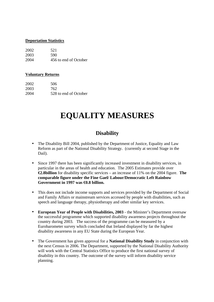#### **Deportation Statistics**

| 2002 | 521                   |
|------|-----------------------|
| 2003 | 590                   |
| 2004 | 456 to end of October |

#### **Voluntary Returns**

| 2002 | 506                   |
|------|-----------------------|
| 2003 | 762                   |
| 2004 | 528 to end of October |

### **EQUALITY MEASURES**

### **Disability**

- The Disability Bill 2004, published by the Department of Justice, Equality and Law Reform as part of the National Disability Strategy. (currently at second Stage in the Dail).
- Since 1997 there has been significantly increased investment in disability services, in particular in the areas of health and education. The 2005 Estimates provide over **€2.8billion** for disability specific services – an increase of 11% on the 2004 figure. **The comparable figure under the Fine Gael/ Labour/Democratic Left Rainbow Government in 1997 was €0.8 billion.**
- This does not include income supports and services provided by the Department of Social and Family Affairs or mainstream services accessed by people with disabilities, such as speech and language therapy, physiotherapy and other similar key services.
- **European Year of People with Disabilities, 2003** the Minister's Department oversaw the successful programme which supported disability awareness projects throughout the country during 2003. The success of the programme can be measured by a Eurobarometer survey which concluded that Ireland displayed by far the highest disability awareness in any EU State during the European Year.
- The Government has given approval for a **National Disability Study** in conjunction with the next Census in 2006. The Department, supported by the National Disability Authority will work with the Central Statistics Office to produce the first national survey of disability in this country. The outcome of the survey will inform disability service planning.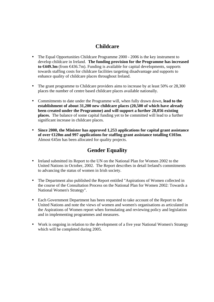### **Childcare**

- The Equal Opportunities Childcare Programme 2000 2006 is the key instrument to develop childcare in Ireland. **The funding provision for the Programme has increased to €449.3m** (from €436.7m). Funding is available for capital developments, supports towards staffing costs for childcare facilities targeting disadvantage and supports to enhance quality of childcare places throughout Ireland.
- The grant programme to Childcare providers aims to increase by at least 50% or 28,300 places the number of centre based childcare places available nationally.
- Commitments to date under the Programme will, when fully drawn down, **lead to the establishment of about 31,200 new childcare places (20,500 of which have already been created under the Programme) and will support a further 28,056 existing places.** The balance of some capital funding yet to be committed will lead to a further significant increase in childcare places.
- **Since 2000, the Minister has approved 1,253 applications for capital grant assistance of over €120m and 997 applications for staffing grant assistance totalling €103m**. Almost €45m has been allocated for quality projects.

### **Gender Equality**

- Ireland submitted its Report to the UN on the National Plan for Women 2002 to the United Nations in October, 2002. The Report describes in detail Ireland's commitments to advancing the status of women in Irish society.
- The Department also published the Report entitled "Aspirations of Women collected in the course of the Consultation Process on the National Plan for Women 2002: Towards a National Women's Strategy".
- Each Government Department has been requested to take account of the Report to the United Nations and note the views of women and women's organisations as articulated in the Aspirations of Women report when formulating and reviewing policy and legislation and in implementing programmes and measures.
- Work is ongoing in relation to the development of a five year National Women's Strategy which will be completed during 2005.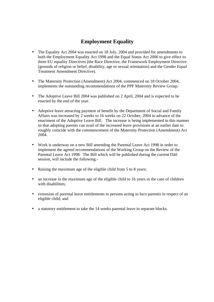### **Employment Equality**

- The Equality Act 2004 was enacted on 18 July, 2004 and provided for amendments to both the Employment Equality Act 1998 and the Equal Status Act 2000 to give effect to three EU equality Directives (the Race Directive, the Framework Employment Directive (grounds of religion or belief, disability, age or sexual orientation) and the Gender Equal Treatment Amendment Directive).
- The Maternity Protection (Amendment) Act 2004, commenced on 18 October 2004, implements the outstanding recommendations of the PPF Maternity Review Group.
- The Adoptive Leave Bill 2004 was published on 2 April, 2004 and is expected to be enacted by the end of the year.
- Adoptive leave attracting payment of benefit by the Department of Social and Family Affairs was increased by 2 weeks to 16 weeks on 22 October, 2004 in advance of the enactment of the Adoptive Leave Bill. The increase is being implemented in this manner so that adopting parents can avail of the increased leave provisions at an earlier date to roughly coincide with the commencement of the Maternity Protection (Amendment) Act 2004.
- Work is underway on a new Bill amending the Parental Leave Act 1998 in order to implement the agreed recommendations of the Working Group on the Review of the Parental Leave Act 1998. The Bill which will be published during the current Dáil session, will include the following:-
- Raising the maximum age of the eligible child from 5 to 8 years;
- an increase in the maximum age of the eligible child to 16 years in the case of children with disabilities:
- extension of parental leave entitlements to persons acting in loco parentis in respect of an eligible child; and
- a statutory entitlement to take the 14 weeks parental leave in separate blocks.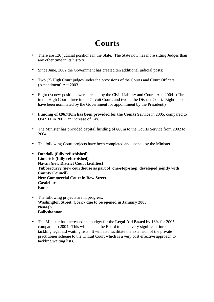# **Courts**

- There are 126 judicial positions in the State. The State now has more sitting Judges than any other time in its history.
- Since June, 2002 the Government has created ten additional judicial posts:
- Two (2) High Court judges under the provisions of the Courts and Court Officers (Amendment) Act 2003.
- Eight (8) new positions were created by the Civil Liability and Courts Act, 2004. (Three in the High Court, three in the Circuit Court, and two in the District Court. Eight persons have been nominated by the Government for appointment by the President.)
- **Funding of**  $\Theta$ **6.716m has been provided for the Courts Service** in 2005, compared to €84.911 in 2002, an increase of 14%.
- The Minister has provided **capital funding of**  $60m$  to the Courts Service from 2002 to 2004.
- The following Court projects have been completed and opened by the Minister:
- **Dundalk (fully refurbished) Limerick (fully refurbished) Navan (new District Court facilities) Tubbercurry (new courthouse as part of 'one-stop-shop, developed jointly with County Council) New Commercial Court in Bow Street. Castlebar Ennis**
- The following projects are in progress: **Washington Street, Cork - due to be opened in January 2005 Nenagh Ballyshannon**
- The Minister has increased the budget for the **Legal Aid Board** by 16% for 2005 compared to 2004. This will enable the Board to make very significant inroads in tackling legal aid waiting lists. It will also facilitate the extension of the private practitioner scheme to the Circuit Court which is a very cost effective approach to tackling waiting lists.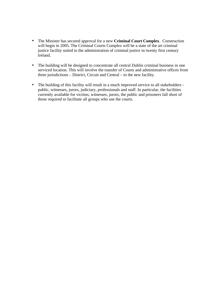- The Minister has secured approval for a new **Criminal Court Complex**. Construction will begin in 2005. The Criminal Courts Complex will be a state of the art criminal justice facility suited to the administration of criminal justice in twenty first century Ireland.
- The building will be designed to concentrate all central Dublin criminal business in one serviced location. This will involve the transfer of Courts and administrative offices from three jurisdictions – District, Circuit and Central – to the new facility.
- The building of this facility will result in a much improved service to all stakeholders public, witnesses, jurors, judiciary, professionals and staff. In particular, the facilities currently available for victims, witnesses, jurors, the public and prisoners fall short of those required to facilitate all groups who use the courts.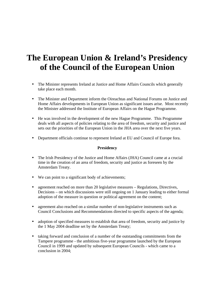### **The European Union & Ireland's Presidency of the Council of the European Union**

- The Minister represents Ireland at Justice and Home Affairs Councils which generally take place each month.
- The Minister and Department inform the Oireachtas and National Forums on Justice and Home Affairs developments in European Union as significant issues arise. Most recently the Minister addressed the Institute of European Affairs on the Hague Programme.
- He was involved in the development of the new Hague Programme. This Programme deals with all aspects of policies relating to the area of freedom, security and justice and sets out the priorities of the European Union in the JHA area over the next five years.
- Department officials continue to represent Ireland at EU and Council of Europe fora.

#### **Presidency**

- The Irish Presidency of the Justice and Home Affairs (JHA) Council came at a crucial time in the creation of an area of freedom, security and justice as foreseen by the Amsterdam Treaty.
- We can point to a significant body of achievements;
- agreement reached on more than 20 legislative measures Regulations, Directives, Decisions – on which discussions were still ongoing on 1 January leading to either formal adoption of the measure in question or political agreement on the content;
- agreement also reached on a similar number of non-legislative instruments such as Council Conclusions and Recommendations directed to specific aspects of the agenda;
- adoption of specified measures to establish that area of freedom, security and justice by the 1 May 2004 deadline set by the Amsterdam Treaty;
- taking forward and conclusion of a number of the outstanding commitments from the Tampere programme - the ambitious five-year programme launched by the European Council in 1999 and updated by subsequent European Councils - which came to a conclusion in 2004;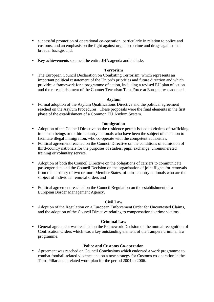- successful promotion of operational co-operation, particularly in relation to police and customs, and an emphasis on the fight against organised crime and drugs against that broader background.
- Key achievements spanned the entire JHA agenda and include:

#### **Terrorism**

• The European Council Declaration on Combating Terrorism, which represents an important political restatement of the Union's priorities and future direction and which provides a framework for a programme of action, including a revised EU plan of action and the re-establishment of the Counter Terrorism Task Force at Europol, was adopted.

#### **Asylum**

• Formal adoption of the Asylum Qualifications Directive and the political agreement reached on the Asylum Procedures. These proposals were the final elements in the first phase of the establishment of a Common EU Asylum System.

#### **Immigration**

- Adoption of the Council Directive on the residence permit issued to victims of trafficking in human beings or to third country nationals who have been the subject of an action to facilitate illegal immigration, who co-operate with the competent authorities,
- Political agreement reached on the Council Directive on the conditions of admission of third-country nationals for the purposes of studies, pupil exchange, unremunerated training or voluntary service,
- Adoption of both the Council Directive on the obligations of carriers to communicate passenger data and the Council Decision on the organisation of joint flights for removals from the territory of two or more Member States, of third-country nationals who are the subject of individual removal orders and
- Political agreement reached on the Council Regulation on the establishment of a European Border Management Agency.

#### **Civil Law**

• Adoption of the Regulation on a European Enforcement Order for Uncontested Claims, and the adoption of the Council Directive relating to compensation to crime victims.

#### **Criminal Law**

• General agreement was reached on the Framework Decision on the mutual recognition of Confiscation Orders which was a key outstanding element of the Tampere criminal law programme.

#### **Police and Customs Co-operation**

• Agreement was reached on Council Conclusions which endorsed a work programme to combat football-related violence and on a new strategy for Customs co-operation in the Third Pillar and a related work plan for the period 2004 to 2006.